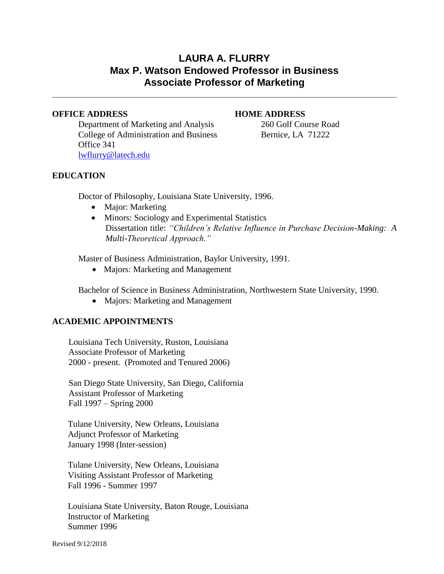# **LAURA A. FLURRY Max P. Watson Endowed Professor in Business Associate Professor of Marketing**

**\_\_\_\_\_\_\_\_\_\_\_\_\_\_\_\_\_\_\_\_\_\_\_\_\_\_\_\_\_\_\_\_\_\_\_\_\_\_\_\_\_\_\_\_\_\_\_\_\_\_\_\_\_\_\_\_\_\_\_\_\_\_\_\_\_\_\_\_\_\_\_\_**

### **OFFICE ADDRESS HOME ADDRESS**

Department of Marketing and Analysis 260 Golf Course Road College of Administration and Business Bernice, LA 71222 Office 341 [lwflurry@latech.edu](mailto:lwflurry@latech.edu)

## **EDUCATION**

Doctor of Philosophy, Louisiana State University, 1996.

- Major: Marketing
- Minors: Sociology and Experimental Statistics Dissertation title: *"Children's Relative Influence in Purchase Decision-Making: A Multi-Theoretical Approach."*

Master of Business Administration, Baylor University, 1991.

• Majors: Marketing and Management

Bachelor of Science in Business Administration, Northwestern State University, 1990.

• Majors: Marketing and Management

## **ACADEMIC APPOINTMENTS**

Louisiana Tech University, Ruston, Louisiana Associate Professor of Marketing 2000 - present. (Promoted and Tenured 2006)

San Diego State University, San Diego, California Assistant Professor of Marketing Fall 1997 – Spring 2000

Tulane University, New Orleans, Louisiana Adjunct Professor of Marketing January 1998 (Inter-session)

Tulane University, New Orleans, Louisiana Visiting Assistant Professor of Marketing Fall 1996 - Summer 1997

Louisiana State University, Baton Rouge, Louisiana Instructor of Marketing Summer 1996

Revised 9/12/2018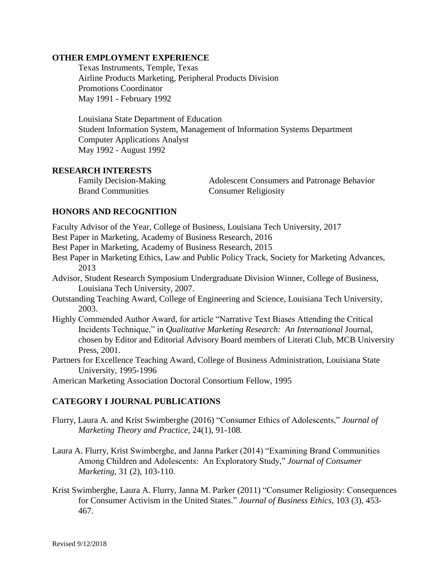## **OTHER EMPLOYMENT EXPERIENCE**

Texas Instruments, Temple, Texas Airline Products Marketing, Peripheral Products Division Promotions Coordinator May 1991 - February 1992

Louisiana State Department of Education Student Information System, Management of Information Systems Department Computer Applications Analyst May 1992 - August 1992

#### **RESEARCH INTERESTS**

Brand Communities Consumer Religiosity

Family Decision-Making Adolescent Consumers and Patronage Behavior

#### **HONORS AND RECOGNITION**

Faculty Advisor of the Year, College of Business, Louisiana Tech University, 2017 Best Paper in Marketing, Academy of Business Research, 2016 Best Paper in Marketing, Academy of Business Research, 2015 Best Paper in Marketing Ethics, Law and Public Policy Track, Society for Marketing Advances, 2013 Advisor, Student Research Symposium Undergraduate Division Winner, College of Business, Louisiana Tech University, 2007. Outstanding Teaching Award, College of Engineering and Science, Louisiana Tech University, 2003. Highly Commended Author Award, for article "Narrative Text Biases Attending the Critical Incidents Technique," in *Qualitative Marketing Research: An International* Journal, chosen by Editor and Editorial Advisory Board members of Literati Club, MCB University Press, 2001.

Partners for Excellence Teaching Award, College of Business Administration, Louisiana State University, 1995-1996

American Marketing Association Doctoral Consortium Fellow, 1995

## **CATEGORY I JOURNAL PUBLICATIONS**

- Flurry, Laura A. and Krist Swimberghe (2016) "Consumer Ethics of Adolescents," *Journal of Marketing Theory and Practice,* 24(1), 91-108*.*
- Laura A. Flurry, Krist Swimberghe, and Janna Parker (2014) "Examining Brand Communities Among Children and Adolescents: An Exploratory Study," *Journal of Consumer Marketing*, 31 (2), 103-110.
- Krist Swimberghe, Laura A. Flurry, Janna M. Parker (2011) "Consumer Religiosity: Consequences for Consumer Activism in the United States." *Journal of Business Ethics,* 103 (3), 453- 467.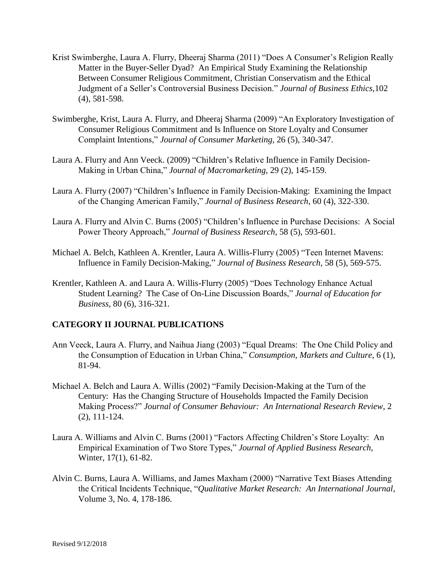- Krist Swimberghe, Laura A. Flurry, Dheeraj Sharma (2011) "Does A Consumer's Religion Really Matter in the Buyer-Seller Dyad? An Empirical Study Examining the Relationship Between Consumer Religious Commitment, Christian Conservatism and the Ethical Judgment of a Seller's Controversial Business Decision." *Journal of Business Ethics,*102 (4), 581-598.
- Swimberghe, Krist, Laura A. Flurry, and Dheeraj Sharma (2009) "An Exploratory Investigation of Consumer Religious Commitment and Is Influence on Store Loyalty and Consumer Complaint Intentions," *Journal of Consumer Marketing*, 26 (5), 340-347.
- Laura A. Flurry and Ann Veeck. (2009) "Children's Relative Influence in Family Decision-Making in Urban China," *Journal of Macromarketing*, 29 (2), 145-159.
- Laura A. Flurry (2007) "Children's Influence in Family Decision-Making: Examining the Impact of the Changing American Family," *Journal of Business Research*, 60 (4), 322-330.
- Laura A. Flurry and Alvin C. Burns (2005) "Children's Influence in Purchase Decisions: A Social Power Theory Approach," *Journal of Business Research*, 58 (5), 593-601.
- Michael A. Belch, Kathleen A. Krentler, Laura A. Willis-Flurry (2005) "Teen Internet Mavens: Influence in Family Decision-Making," *Journal of Business Research*, 58 (5), 569-575.
- Krentler, Kathleen A. and Laura A. Willis-Flurry (2005) "Does Technology Enhance Actual Student Learning? The Case of On-Line Discussion Boards," *Journal of Education for Business*, 80 (6), 316-321.

## **CATEGORY II JOURNAL PUBLICATIONS**

- Ann Veeck, Laura A. Flurry, and Naihua Jiang (2003) "Equal Dreams: The One Child Policy and the Consumption of Education in Urban China," *Consumption, Markets and Culture*, 6 (1), 81-94.
- Michael A. Belch and Laura A. Willis (2002) "Family Decision-Making at the Turn of the Century: Has the Changing Structure of Households Impacted the Family Decision Making Process?" *Journal of Consumer Behaviour: An International Research Review*, 2 (2), 111-124.
- Laura A. Williams and Alvin C. Burns (2001) "Factors Affecting Children's Store Loyalty: An Empirical Examination of Two Store Types," *Journal of Applied Business Research,*  Winter, 17(1), 61-82.
- Alvin C. Burns, Laura A. Williams, and James Maxham (2000) "Narrative Text Biases Attending the Critical Incidents Technique, "*Qualitative Market Research: An International Journal*, Volume 3, No. 4, 178-186.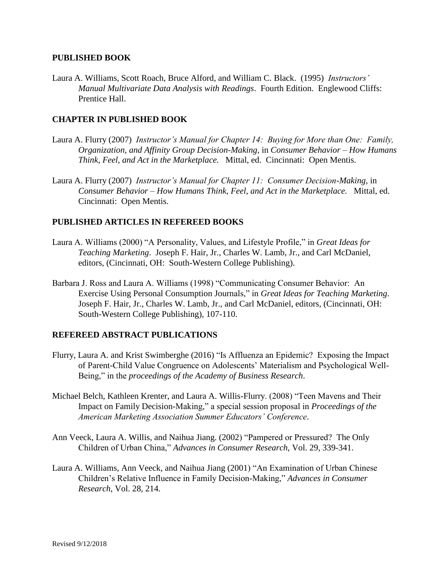### **PUBLISHED BOOK**

Laura A. Williams, Scott Roach, Bruce Alford, and William C. Black. (1995) *Instructors' Manual Multivariate Data Analysis with Readings*. Fourth Edition. Englewood Cliffs: Prentice Hall.

## **CHAPTER IN PUBLISHED BOOK**

- Laura A. Flurry (2007) *Instructor's Manual for Chapter 14: Buying for More than One: Family, Organization, and Affinity Group Decision-Making,* in *Consumer Behavior – How Humans Think, Feel, and Act in the Marketplace.* Mittal, ed. Cincinnati: Open Mentis.
- Laura A. Flurry (2007) *Instructor's Manual for Chapter 11: Consumer Decision-Making,* in *Consumer Behavior – How Humans Think, Feel, and Act in the Marketplace.* Mittal, ed. Cincinnati: Open Mentis.

## **PUBLISHED ARTICLES IN REFEREED BOOKS**

- Laura A. Williams (2000) "A Personality, Values, and Lifestyle Profile," in *Great Ideas for Teaching Marketing*. Joseph F. Hair, Jr., Charles W. Lamb, Jr., and Carl McDaniel, editors, (Cincinnati, OH: South-Western College Publishing).
- Barbara J. Ross and Laura A. Williams (1998) "Communicating Consumer Behavior: An Exercise Using Personal Consumption Journals," in *Great Ideas for Teaching Marketing*. Joseph F. Hair, Jr., Charles W. Lamb, Jr., and Carl McDaniel, editors, (Cincinnati, OH: South-Western College Publishing), 107-110.

## **REFEREED ABSTRACT PUBLICATIONS**

- Flurry, Laura A. and Krist Swimberghe (2016) "Is Affluenza an Epidemic? Exposing the Impact of Parent-Child Value Congruence on Adolescents' Materialism and Psychological Well-Being," in the *proceedings of the Academy of Business Research*.
- Michael Belch, Kathleen Krenter, and Laura A. Willis-Flurry. (2008) "Teen Mavens and Their Impact on Family Decision-Making," a special session proposal in *Proceedings of the American Marketing Association Summer Educators' Conference*.
- Ann Veeck, Laura A. Willis, and Naihua Jiang. (2002) "Pampered or Pressured? The Only Children of Urban China," *Advances in Consumer Research*, Vol. 29, 339-341.
- Laura A. Williams, Ann Veeck, and Naihua Jiang (2001) "An Examination of Urban Chinese Children's Relative Influence in Family Decision-Making," *Advances in Consumer Research*, Vol. 28, 214.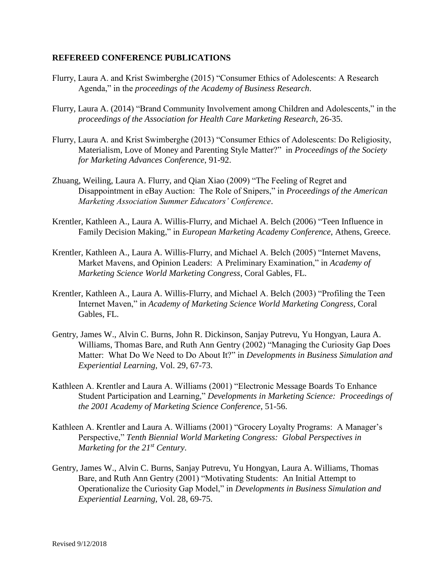## **REFEREED CONFERENCE PUBLICATIONS**

- Flurry, Laura A. and Krist Swimberghe (2015) "Consumer Ethics of Adolescents: A Research Agenda," in the *proceedings of the Academy of Business Research*.
- Flurry, Laura A. (2014) "Brand Community Involvement among Children and Adolescents," in the *proceedings of the Association for Health Care Marketing Research*, 26-35.
- Flurry, Laura A. and Krist Swimberghe (2013) "Consumer Ethics of Adolescents: Do Religiosity, Materialism, Love of Money and Parenting Style Matter?" in *Proceedings of the Society for Marketing Advances Conference*, 91-92.
- Zhuang, Weiling, Laura A. Flurry, and Qian Xiao (2009) "The Feeling of Regret and Disappointment in eBay Auction: The Role of Snipers," in *Proceedings of the American Marketing Association Summer Educators' Conference*.
- Krentler, Kathleen A., Laura A. Willis-Flurry, and Michael A. Belch (2006) "Teen Influence in Family Decision Making," in *European Marketing Academy Conference*, Athens, Greece.
- Krentler, Kathleen A., Laura A. Willis-Flurry, and Michael A. Belch (2005) "Internet Mavens, Market Mavens, and Opinion Leaders: A Preliminary Examination," in *Academy of Marketing Science World Marketing Congress*, Coral Gables, FL.
- Krentler, Kathleen A., Laura A. Willis-Flurry, and Michael A. Belch (2003) "Profiling the Teen Internet Maven," in *Academy of Marketing Science World Marketing Congress*, Coral Gables, FL.
- Gentry, James W., Alvin C. Burns, John R. Dickinson, Sanjay Putrevu, Yu Hongyan, Laura A. Williams, Thomas Bare, and Ruth Ann Gentry (2002) "Managing the Curiosity Gap Does Matter: What Do We Need to Do About It?" in *Developments in Business Simulation and Experiential Learning,* Vol. 29, 67-73.
- Kathleen A. Krentler and Laura A. Williams (2001) "Electronic Message Boards To Enhance Student Participation and Learning," *Developments in Marketing Science: Proceedings of the 2001 Academy of Marketing Science Conference*, 51-56.
- Kathleen A. Krentler and Laura A. Williams (2001) "Grocery Loyalty Programs: A Manager's Perspective," *Tenth Biennial World Marketing Congress: Global Perspectives in Marketing for the 21st Century*.
- Gentry, James W., Alvin C. Burns, Sanjay Putrevu, Yu Hongyan, Laura A. Williams, Thomas Bare, and Ruth Ann Gentry (2001) "Motivating Students: An Initial Attempt to Operationalize the Curiosity Gap Model," in *Developments in Business Simulation and Experiential Learning,* Vol. 28, 69-75.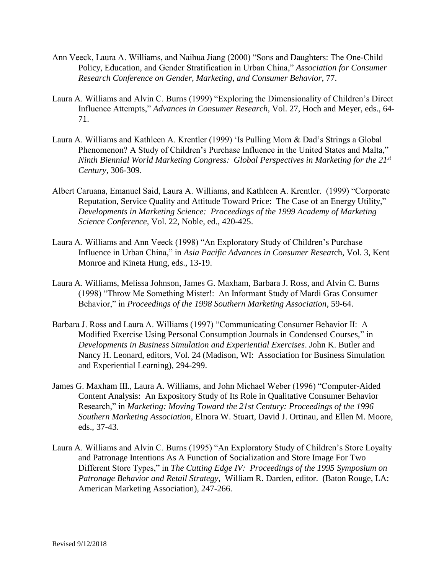- Ann Veeck, Laura A. Williams, and Naihua Jiang (2000) "Sons and Daughters: The One-Child Policy, Education, and Gender Stratification in Urban China," *Association for Consumer Research Conference on Gender, Marketing, and Consumer Behavior*, 77.
- Laura A. Williams and Alvin C. Burns (1999) "Exploring the Dimensionality of Children's Direct Influence Attempts," *Advances in Consumer Research*, Vol. 27, Hoch and Meyer, eds., 64- 71.
- Laura A. Williams and Kathleen A. Krentler (1999) 'Is Pulling Mom & Dad's Strings a Global Phenomenon? A Study of Children's Purchase Influence in the United States and Malta," *Ninth Biennial World Marketing Congress: Global Perspectives in Marketing for the 21st Century*, 306-309.
- Albert Caruana, Emanuel Said, Laura A. Williams, and Kathleen A. Krentler. (1999) "Corporate Reputation, Service Quality and Attitude Toward Price: The Case of an Energy Utility," *Developments in Marketing Science: Proceedings of the 1999 Academy of Marketing Science Conference*, Vol. 22, Noble, ed., 420-425.
- Laura A. Williams and Ann Veeck (1998) "An Exploratory Study of Children's Purchase Influence in Urban China," in *Asia Pacific Advances in Consumer Resea*rch, Vol. 3, Kent Monroe and Kineta Hung, eds., 13-19.
- Laura A. Williams, Melissa Johnson, James G. Maxham, Barbara J. Ross, and Alvin C. Burns (1998) "Throw Me Something Mister!: An Informant Study of Mardi Gras Consumer Behavior," in *Proceedings of the 1998 Southern Marketing Association*, 59-64.
- Barbara J. Ross and Laura A. Williams (1997) "Communicating Consumer Behavior II: A Modified Exercise Using Personal Consumption Journals in Condensed Courses," in *Developments in Business Simulation and Experiential Exercises*. John K. Butler and Nancy H. Leonard, editors, Vol. 24 (Madison, WI: Association for Business Simulation and Experiential Learning), 294-299.
- James G. Maxham III., Laura A. Williams, and John Michael Weber (1996) "Computer-Aided Content Analysis: An Expository Study of Its Role in Qualitative Consumer Behavior Research," in *Marketing: Moving Toward the 21st Century: Proceedings of the 1996 Southern Marketing Association*, Elnora W. Stuart, David J. Ortinau, and Ellen M. Moore, eds., 37-43.
- Laura A. Williams and Alvin C. Burns (1995) "An Exploratory Study of Children's Store Loyalty and Patronage Intentions As A Function of Socialization and Store Image For Two Different Store Types," in *The Cutting Edge IV: Proceedings of the 1995 Symposium on Patronage Behavior and Retail Strategy,* William R. Darden, editor. (Baton Rouge, LA: American Marketing Association), 247-266.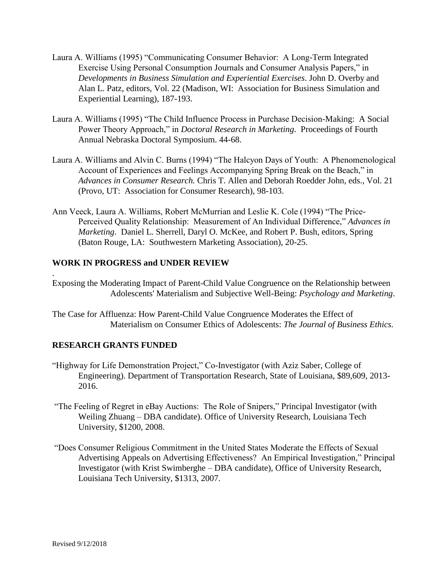- Laura A. Williams (1995) "Communicating Consumer Behavior: A Long-Term Integrated Exercise Using Personal Consumption Journals and Consumer Analysis Papers," in *Developments in Business Simulation and Experiential Exercises*. John D. Overby and Alan L. Patz, editors, Vol. 22 (Madison, WI: Association for Business Simulation and Experiential Learning), 187-193.
- Laura A. Williams (1995) "The Child Influence Process in Purchase Decision-Making: A Social Power Theory Approach," in *Doctoral Research in Marketing*. Proceedings of Fourth Annual Nebraska Doctoral Symposium. 44-68.
- Laura A. Williams and Alvin C. Burns (1994) "The Halcyon Days of Youth: A Phenomenological Account of Experiences and Feelings Accompanying Spring Break on the Beach," in *Advances in Consumer Research.* Chris T. Allen and Deborah Roedder John, eds., Vol. 21 (Provo, UT: Association for Consumer Research), 98-103.
- Ann Veeck, Laura A. Williams, Robert McMurrian and Leslie K. Cole (1994) "The Price-Perceived Quality Relationship: Measurement of An Individual Difference," *Advances in Marketing*. Daniel L. Sherrell, Daryl O. McKee, and Robert P. Bush, editors, Spring (Baton Rouge, LA: Southwestern Marketing Association), 20-25.

## **WORK IN PROGRESS and UNDER REVIEW**

- Exposing the Moderating Impact of Parent-Child Value Congruence on the Relationship between Adolescents' Materialism and Subjective Well-Being: *Psychology and Marketing*.
- The Case for Affluenza: How Parent-Child Value Congruence Moderates the Effect of Materialism on Consumer Ethics of Adolescents: *The Journal of Business Ethics.*

## **RESEARCH GRANTS FUNDED**

.

- "Highway for Life Demonstration Project," Co-Investigator (with Aziz Saber, College of Engineering). Department of Transportation Research, State of Louisiana, \$89,609, 2013- 2016.
- "The Feeling of Regret in eBay Auctions: The Role of Snipers," Principal Investigator (with Weiling Zhuang – DBA candidate). Office of University Research, Louisiana Tech University, \$1200, 2008.
- "Does Consumer Religious Commitment in the United States Moderate the Effects of Sexual Advertising Appeals on Advertising Effectiveness? An Empirical Investigation," Principal Investigator (with Krist Swimberghe – DBA candidate), Office of University Research, Louisiana Tech University, \$1313, 2007.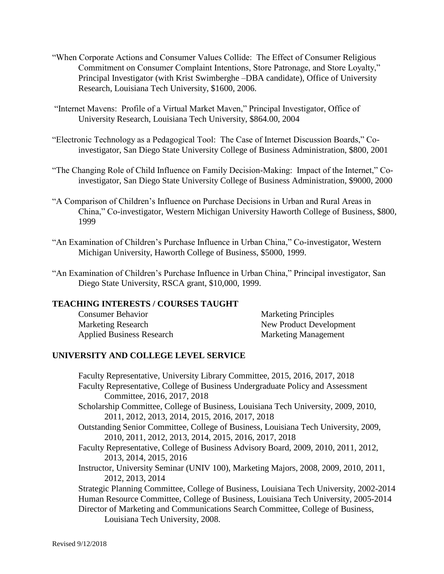- "When Corporate Actions and Consumer Values Collide: The Effect of Consumer Religious Commitment on Consumer Complaint Intentions, Store Patronage, and Store Loyalty," Principal Investigator (with Krist Swimberghe –DBA candidate), Office of University Research, Louisiana Tech University, \$1600, 2006.
- "Internet Mavens: Profile of a Virtual Market Maven," Principal Investigator, Office of University Research, Louisiana Tech University, \$864.00, 2004
- "Electronic Technology as a Pedagogical Tool: The Case of Internet Discussion Boards," Coinvestigator, San Diego State University College of Business Administration, \$800, 2001
- "The Changing Role of Child Influence on Family Decision-Making: Impact of the Internet," Coinvestigator, San Diego State University College of Business Administration, \$9000, 2000
- "A Comparison of Children's Influence on Purchase Decisions in Urban and Rural Areas in China," Co-investigator, Western Michigan University Haworth College of Business, \$800, 1999
- "An Examination of Children's Purchase Influence in Urban China," Co-investigator, Western Michigan University, Haworth College of Business, \$5000, 1999.
- "An Examination of Children's Purchase Influence in Urban China," Principal investigator, San Diego State University, RSCA grant, \$10,000, 1999.

## **TEACHING INTERESTS / COURSES TAUGHT**

Consumer Behavior Marketing Principles Marketing Research New Product Development Applied Business Research Marketing Management

## **UNIVERSITY AND COLLEGE LEVEL SERVICE**

Faculty Representative, University Library Committee, 2015, 2016, 2017, 2018 Faculty Representative, College of Business Undergraduate Policy and Assessment Committee, 2016, 2017, 2018 Scholarship Committee, College of Business, Louisiana Tech University, 2009, 2010, 2011, 2012, 2013, 2014, 2015, 2016, 2017, 2018 Outstanding Senior Committee, College of Business, Louisiana Tech University, 2009, 2010, 2011, 2012, 2013, 2014, 2015, 2016, 2017, 2018 Faculty Representative, College of Business Advisory Board, 2009, 2010, 2011, 2012, 2013, 2014, 2015, 2016 Instructor, University Seminar (UNIV 100), Marketing Majors, 2008, 2009, 2010, 2011, 2012, 2013, 2014 Strategic Planning Committee, College of Business, Louisiana Tech University, 2002-2014 Human Resource Committee, College of Business, Louisiana Tech University, 2005-2014 Director of Marketing and Communications Search Committee, College of Business, Louisiana Tech University, 2008.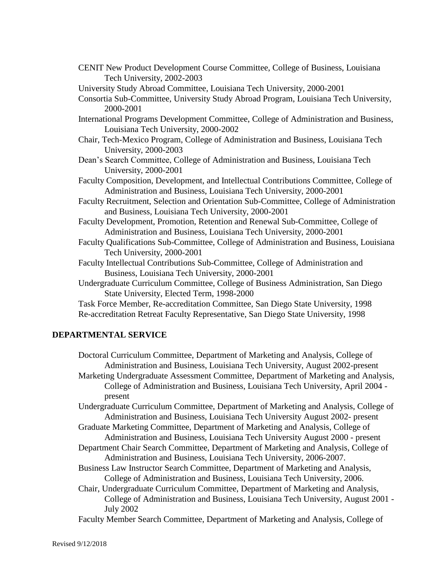- CENIT New Product Development Course Committee, College of Business, Louisiana Tech University, 2002-2003
- University Study Abroad Committee, Louisiana Tech University, 2000-2001
- Consortia Sub-Committee, University Study Abroad Program, Louisiana Tech University, 2000-2001
- International Programs Development Committee, College of Administration and Business, Louisiana Tech University, 2000-2002
- Chair, Tech-Mexico Program, College of Administration and Business, Louisiana Tech University, 2000-2003
- Dean's Search Committee, College of Administration and Business, Louisiana Tech University, 2000-2001
- Faculty Composition, Development, and Intellectual Contributions Committee, College of Administration and Business, Louisiana Tech University, 2000-2001
- Faculty Recruitment, Selection and Orientation Sub-Committee, College of Administration and Business, Louisiana Tech University, 2000-2001
- Faculty Development, Promotion, Retention and Renewal Sub-Committee, College of Administration and Business, Louisiana Tech University, 2000-2001
- Faculty Qualifications Sub-Committee, College of Administration and Business, Louisiana Tech University, 2000-2001
- Faculty Intellectual Contributions Sub-Committee, College of Administration and Business, Louisiana Tech University, 2000-2001
- Undergraduate Curriculum Committee, College of Business Administration, San Diego State University, Elected Term, 1998-2000

Task Force Member, Re-accreditation Committee, San Diego State University, 1998 Re-accreditation Retreat Faculty Representative, San Diego State University, 1998

## **DEPARTMENTAL SERVICE**

Doctoral Curriculum Committee, Department of Marketing and Analysis, College of Administration and Business, Louisiana Tech University, August 2002-present Marketing Undergraduate Assessment Committee, Department of Marketing and Analysis, College of Administration and Business, Louisiana Tech University, April 2004 present Undergraduate Curriculum Committee, Department of Marketing and Analysis, College of Administration and Business, Louisiana Tech University August 2002- present Graduate Marketing Committee, Department of Marketing and Analysis, College of Administration and Business, Louisiana Tech University August 2000 - present Department Chair Search Committee, Department of Marketing and Analysis, College of Administration and Business, Louisiana Tech University, 2006-2007. Business Law Instructor Search Committee, Department of Marketing and Analysis, College of Administration and Business, Louisiana Tech University, 2006. Chair, Undergraduate Curriculum Committee, Department of Marketing and Analysis, College of Administration and Business, Louisiana Tech University, August 2001 - July 2002 Faculty Member Search Committee, Department of Marketing and Analysis, College of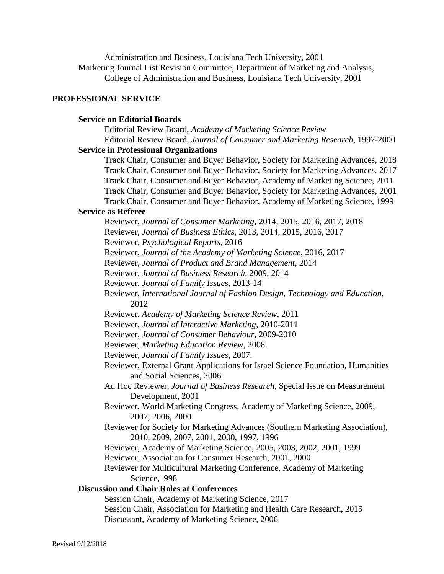Administration and Business, Louisiana Tech University, 2001 Marketing Journal List Revision Committee, Department of Marketing and Analysis, College of Administration and Business, Louisiana Tech University, 2001

#### **PROFESSIONAL SERVICE**

#### **Service on Editorial Boards**

Editorial Review Board, *Academy of Marketing Science Review* Editorial Review Board, *Journal of Consumer and Marketing Research,* 1997-2000

## **Service in Professional Organizations**

Track Chair, Consumer and Buyer Behavior, Society for Marketing Advances, 2018 Track Chair, Consumer and Buyer Behavior, Society for Marketing Advances, 2017 Track Chair, Consumer and Buyer Behavior, Academy of Marketing Science, 2011 Track Chair, Consumer and Buyer Behavior, Society for Marketing Advances, 2001 Track Chair, Consumer and Buyer Behavior, Academy of Marketing Science, 1999

## **Service as Referee**

Reviewer, *Journal of Consumer Marketing,* 2014, 2015, 2016, 2017, 2018 Reviewer, *Journal of Business Ethics*, 2013, 2014, 2015, 2016, 2017 Reviewer, *Psychological Reports*, 2016 Reviewer, *Journal of the Academy of Marketing Science*, 2016, 2017 Reviewer, *Journal of Product and Brand Management,* 2014 Reviewer, *Journal of Business Research,* 2009, 2014 Reviewer, *Journal of Family Issues*, 2013-14 Reviewer, *International Journal of Fashion Design, Technology and Education*, 2012 Reviewer, *Academy of Marketing Science Review*, 2011 Reviewer, *Journal of Interactive Marketing,* 2010-2011 Reviewer, *Journal of Consumer Behaviour*, 2009-2010 Reviewer, *Marketing Education Review*, 2008. Reviewer, *Journal of Family Issues*, 2007. Reviewer, External Grant Applications for Israel Science Foundation, Humanities and Social Sciences, 2006. Ad Hoc Reviewer, *Journal of Business Research*, Special Issue on Measurement Development, 2001 Reviewer, World Marketing Congress, Academy of Marketing Science, 2009, 2007, 2006, 2000 Reviewer for Society for Marketing Advances (Southern Marketing Association), 2010, 2009, 2007, 2001, 2000, 1997, 1996 Reviewer, Academy of Marketing Science, 2005, 2003, 2002, 2001, 1999 Reviewer, Association for Consumer Research, 2001, 2000 Reviewer for Multicultural Marketing Conference, Academy of Marketing Science,1998 **Discussion and Chair Roles at Conferences** Session Chair, Academy of Marketing Science, 2017 Session Chair, Association for Marketing and Health Care Research, 2015 Discussant, Academy of Marketing Science, 2006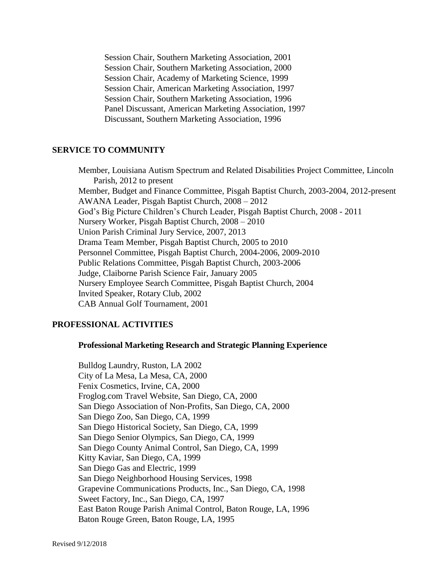Session Chair, Southern Marketing Association, 2001 Session Chair, Southern Marketing Association, 2000 Session Chair, Academy of Marketing Science, 1999 Session Chair, American Marketing Association, 1997 Session Chair, Southern Marketing Association, 1996 Panel Discussant, American Marketing Association, 1997 Discussant, Southern Marketing Association, 1996

### **SERVICE TO COMMUNITY**

Member, Louisiana Autism Spectrum and Related Disabilities Project Committee, Lincoln Parish, 2012 to present Member, Budget and Finance Committee, Pisgah Baptist Church, 2003-2004, 2012-present AWANA Leader, Pisgah Baptist Church, 2008 – 2012 God's Big Picture Children's Church Leader, Pisgah Baptist Church, 2008 - 2011 Nursery Worker, Pisgah Baptist Church, 2008 – 2010 Union Parish Criminal Jury Service, 2007, 2013 Drama Team Member, Pisgah Baptist Church, 2005 to 2010 Personnel Committee, Pisgah Baptist Church, 2004-2006, 2009-2010 Public Relations Committee, Pisgah Baptist Church, 2003-2006 Judge, Claiborne Parish Science Fair, January 2005 Nursery Employee Search Committee, Pisgah Baptist Church, 2004 Invited Speaker, Rotary Club, 2002 CAB Annual Golf Tournament, 2001

#### **PROFESSIONAL ACTIVITIES**

#### **Professional Marketing Research and Strategic Planning Experience**

Bulldog Laundry, Ruston, LA 2002 City of La Mesa, La Mesa, CA, 2000 Fenix Cosmetics, Irvine, CA, 2000 Froglog.com Travel Website, San Diego, CA, 2000 San Diego Association of Non-Profits, San Diego, CA, 2000 San Diego Zoo, San Diego, CA, 1999 San Diego Historical Society, San Diego, CA, 1999 San Diego Senior Olympics, San Diego, CA, 1999 San Diego County Animal Control, San Diego, CA, 1999 Kitty Kaviar, San Diego, CA, 1999 San Diego Gas and Electric, 1999 San Diego Neighborhood Housing Services, 1998 Grapevine Communications Products, Inc., San Diego, CA, 1998 Sweet Factory, Inc., San Diego, CA, 1997 East Baton Rouge Parish Animal Control, Baton Rouge, LA, 1996 Baton Rouge Green, Baton Rouge, LA, 1995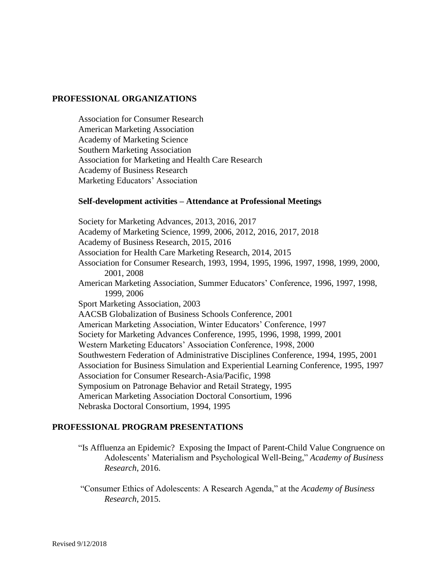## **PROFESSIONAL ORGANIZATIONS**

Association for Consumer Research American Marketing Association Academy of Marketing Science Southern Marketing Association Association for Marketing and Health Care Research Academy of Business Research Marketing Educators' Association

### **Self-development activities – Attendance at Professional Meetings**

Society for Marketing Advances, 2013, 2016, 2017 Academy of Marketing Science, 1999, 2006, 2012, 2016, 2017, 2018 Academy of Business Research, 2015, 2016 Association for Health Care Marketing Research, 2014, 2015 Association for Consumer Research, 1993, 1994, 1995, 1996, 1997, 1998, 1999, 2000, 2001, 2008 American Marketing Association, Summer Educators' Conference, 1996, 1997, 1998, 1999, 2006 Sport Marketing Association, 2003 AACSB Globalization of Business Schools Conference, 2001 American Marketing Association, Winter Educators' Conference, 1997 Society for Marketing Advances Conference, 1995, 1996, 1998, 1999, 2001 Western Marketing Educators' Association Conference, 1998, 2000 Southwestern Federation of Administrative Disciplines Conference, 1994, 1995, 2001 Association for Business Simulation and Experiential Learning Conference, 1995, 1997 Association for Consumer Research-Asia/Pacific, 1998 Symposium on Patronage Behavior and Retail Strategy, 1995 American Marketing Association Doctoral Consortium, 1996 Nebraska Doctoral Consortium, 1994, 1995

## **PROFESSIONAL PROGRAM PRESENTATIONS**

- "Is Affluenza an Epidemic? Exposing the Impact of Parent-Child Value Congruence on Adolescents' Materialism and Psychological Well-Being," *Academy of Business Research*, 2016.
- "Consumer Ethics of Adolescents: A Research Agenda," at the *Academy of Business Research*, 2015.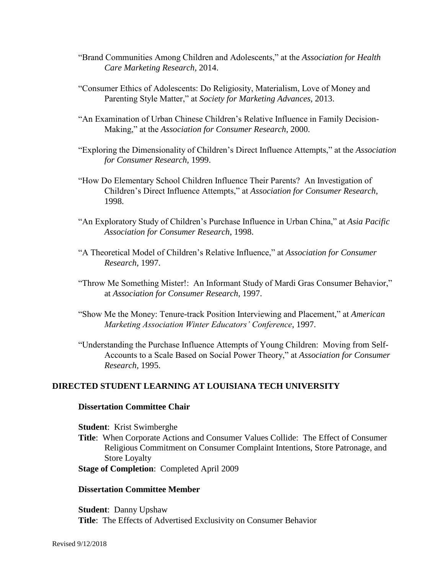- "Brand Communities Among Children and Adolescents," at the *Association for Health Care Marketing Research*, 2014.
- "Consumer Ethics of Adolescents: Do Religiosity, Materialism, Love of Money and Parenting Style Matter," at *Society for Marketing Advances*, 2013.
- "An Examination of Urban Chinese Children's Relative Influence in Family Decision-Making," at the *Association for Consumer Research*, 2000.
- "Exploring the Dimensionality of Children's Direct Influence Attempts," at the *Association for Consumer Research,* 1999.
- "How Do Elementary School Children Influence Their Parents? An Investigation of Children's Direct Influence Attempts," at *Association for Consumer Research*, 1998.
- "An Exploratory Study of Children's Purchase Influence in Urban China," at *Asia Pacific Association for Consumer Research*, 1998.
- "A Theoretical Model of Children's Relative Influence," at *Association for Consumer Research*, 1997.
- "Throw Me Something Mister!: An Informant Study of Mardi Gras Consumer Behavior," at *Association for Consumer Research*, 1997.
- "Show Me the Money: Tenure-track Position Interviewing and Placement," at *American Marketing Association Winter Educators' Conference*, 1997.
- "Understanding the Purchase Influence Attempts of Young Children: Moving from Self-Accounts to a Scale Based on Social Power Theory," at *Association for Consumer Research,* 1995.

## **DIRECTED STUDENT LEARNING AT LOUISIANA TECH UNIVERSITY**

#### **Dissertation Committee Chair**

**Student**: Krist Swimberghe

**Title**: When Corporate Actions and Consumer Values Collide: The Effect of Consumer Religious Commitment on Consumer Complaint Intentions, Store Patronage, and Store Loyalty

**Stage of Completion**: Completed April 2009

#### **Dissertation Committee Member**

**Student**: Danny Upshaw **Title**: The Effects of Advertised Exclusivity on Consumer Behavior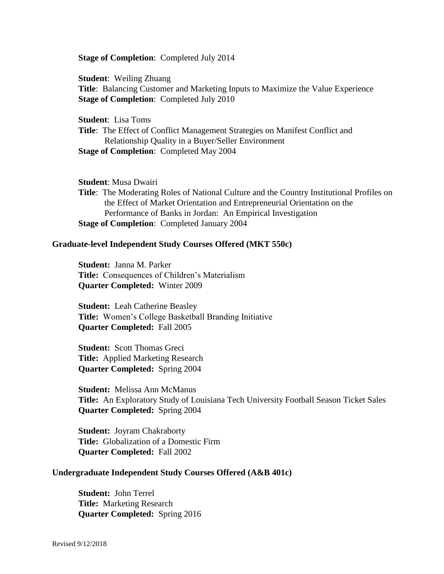#### **Stage of Completion**: Completed July 2014

**Student**: Weiling Zhuang **Title**: Balancing Customer and Marketing Inputs to Maximize the Value Experience **Stage of Completion**: Completed July 2010

**Student**: Lisa Toms

**Title**: The Effect of Conflict Management Strategies on Manifest Conflict and Relationship Quality in a Buyer/Seller Environment **Stage of Completion**: Completed May 2004

**Student**: Musa Dwairi

**Title**: The Moderating Roles of National Culture and the Country Institutional Profiles on the Effect of Market Orientation and Entrepreneurial Orientation on the Performance of Banks in Jordan: An Empirical Investigation **Stage of Completion**: Completed January 2004

#### **Graduate-level Independent Study Courses Offered (MKT 550c)**

**Student:** Janna M. Parker **Title:** Consequences of Children's Materialism **Quarter Completed:** Winter 2009

**Student:** Leah Catherine Beasley **Title:** Women's College Basketball Branding Initiative **Quarter Completed:** Fall 2005

**Student:** Scott Thomas Greci **Title:** Applied Marketing Research **Quarter Completed:** Spring 2004

**Student:** Melissa Ann McManus **Title:** An Exploratory Study of Louisiana Tech University Football Season Ticket Sales **Quarter Completed:** Spring 2004

**Student:** Joyram Chakraborty **Title:** Globalization of a Domestic Firm **Quarter Completed:** Fall 2002

#### **Undergraduate Independent Study Courses Offered (A&B 401c)**

**Student:** John Terrel **Title:** Marketing Research **Quarter Completed:** Spring 2016